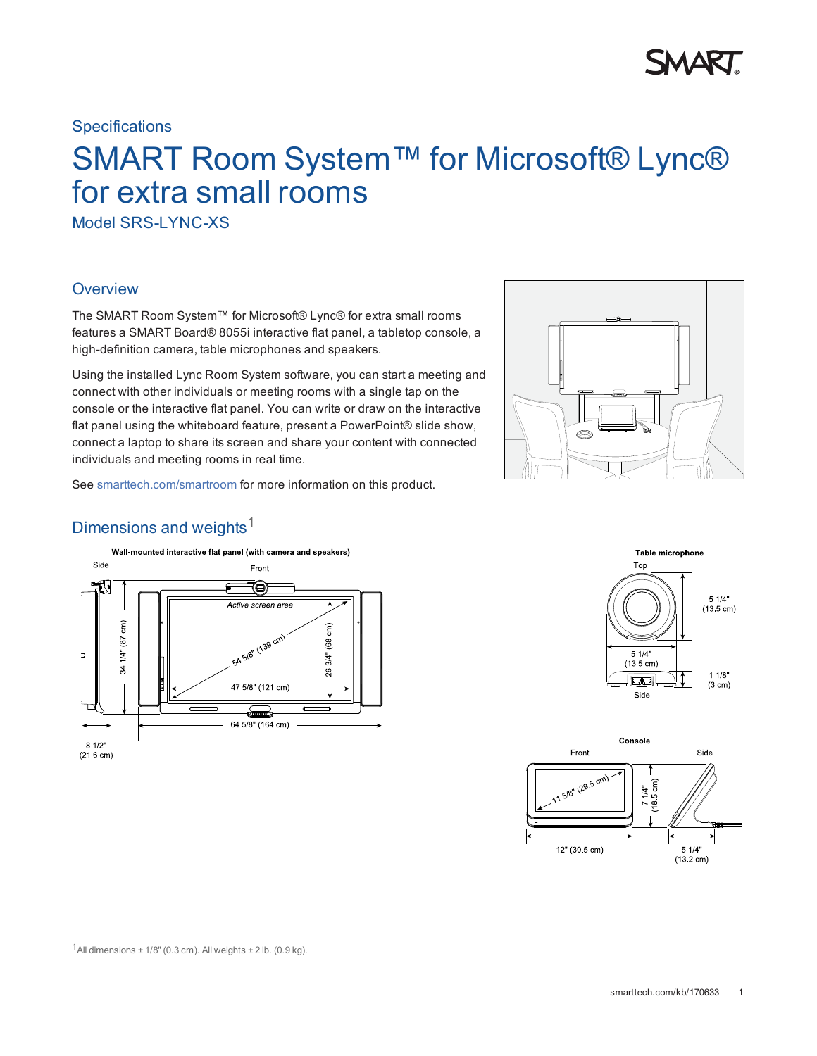## **Specifications**

# SMART Room System™ for Microsoft® Lync® for extra small rooms

Model SRS-LYNC-XS

# **Overview**

The SMART Room System™ for Microsoft® Lync® for extra small rooms features a SMART Board® 8055i interactive flat panel, a tabletop console, a high-definition camera, table microphones and speakers.

Using the installed Lync Room System software, you can start a meeting and connect with other individuals or meeting rooms with a single tap on the console or the interactive flat panel. You can write or draw on the interactive flat panel using the whiteboard feature, present a PowerPoint® slide show, connect a laptop to share its screen and share your content with connected individuals and meeting rooms in real time.



See [smarttech.com/smartroom](http://www.smarttech.com/smartroom) for more information on this product.

# Dimensions and weights $1$







<sup>1</sup>All dimensions  $\pm$  1/8" (0.3 cm). All weights  $\pm$  2 lb. (0.9 kg).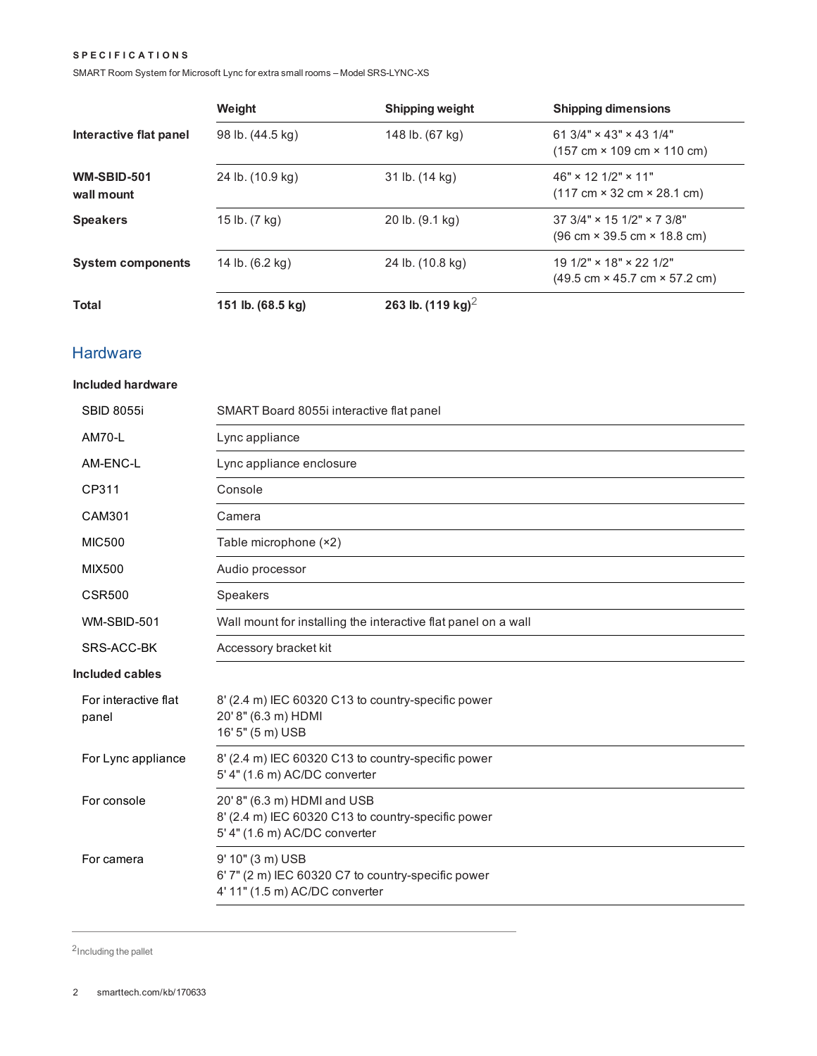#### **S P E C I F I C A T I O N S**

SMART Room System for Microsoft Lync for extra small rooms – Model SRS-LYNC-XS

|                                  | Weight            | <b>Shipping weight</b>       | <b>Shipping dimensions</b>                                                                                |
|----------------------------------|-------------------|------------------------------|-----------------------------------------------------------------------------------------------------------|
| Interactive flat panel           | 98 lb. (44.5 kg)  | 148 lb. (67 kg)              | 61 3/4" $\times$ 43" $\times$ 43 1/4"<br>$(157 \text{ cm} \times 109 \text{ cm} \times 110 \text{ cm})$   |
| <b>WM-SBID-501</b><br>wall mount | 24 lb. (10.9 kg)  | 31 lb. (14 kg)               | $46" \times 12' 1/2" \times 11"$<br>$(117 \text{ cm} \times 32 \text{ cm} \times 28.1 \text{ cm})$        |
| <b>Speakers</b>                  | 15 lb. (7 kg)     | 20 lb. (9.1 kg)              | $37.3/4" \times 15.1/2" \times 7.3/8"$<br>$(96 \text{ cm} \times 39.5 \text{ cm} \times 18.8 \text{ cm})$ |
| <b>System components</b>         | 14 lb. (6.2 kg)   | 24 lb. (10.8 kg)             | $191/2" \times 18" \times 221/2"$<br>$(49.5 \text{ cm} \times 45.7 \text{ cm} \times 57.2 \text{ cm})$    |
| <b>Total</b>                     | 151 lb. (68.5 kg) | 263 lb. $(119 \text{ kg})^2$ |                                                                                                           |

# **Hardware**

### **Included hardware**

| <b>SBID 8055i</b>             | SMART Board 8055i interactive flat panel                                                                           |
|-------------------------------|--------------------------------------------------------------------------------------------------------------------|
| <b>AM70-L</b>                 | Lync appliance                                                                                                     |
| AM-ENC-L                      | Lync appliance enclosure                                                                                           |
| CP311                         | Console                                                                                                            |
| CAM301                        | Camera                                                                                                             |
| <b>MIC500</b>                 | Table microphone (×2)                                                                                              |
| <b>MIX500</b>                 | Audio processor                                                                                                    |
| <b>CSR500</b>                 | Speakers                                                                                                           |
| WM-SBID-501                   | Wall mount for installing the interactive flat panel on a wall                                                     |
| SRS-ACC-BK                    | Accessory bracket kit                                                                                              |
| <b>Included cables</b>        |                                                                                                                    |
| For interactive flat<br>panel | 8' (2.4 m) IEC 60320 C13 to country-specific power<br>20' 8" (6.3 m) HDMI<br>16' 5" (5 m) USB                      |
| For Lync appliance            | 8' (2.4 m) IEC 60320 C13 to country-specific power<br>5' 4" (1.6 m) AC/DC converter                                |
| For console                   | 20' 8" (6.3 m) HDMI and USB<br>8' (2.4 m) IEC 60320 C13 to country-specific power<br>5' 4" (1.6 m) AC/DC converter |
| For camera                    | 9' 10" (3 m) USB<br>6' 7" (2 m) IEC 60320 C7 to country-specific power<br>4' 11" (1.5 m) AC/DC converter           |
|                               |                                                                                                                    |

2Including the pallet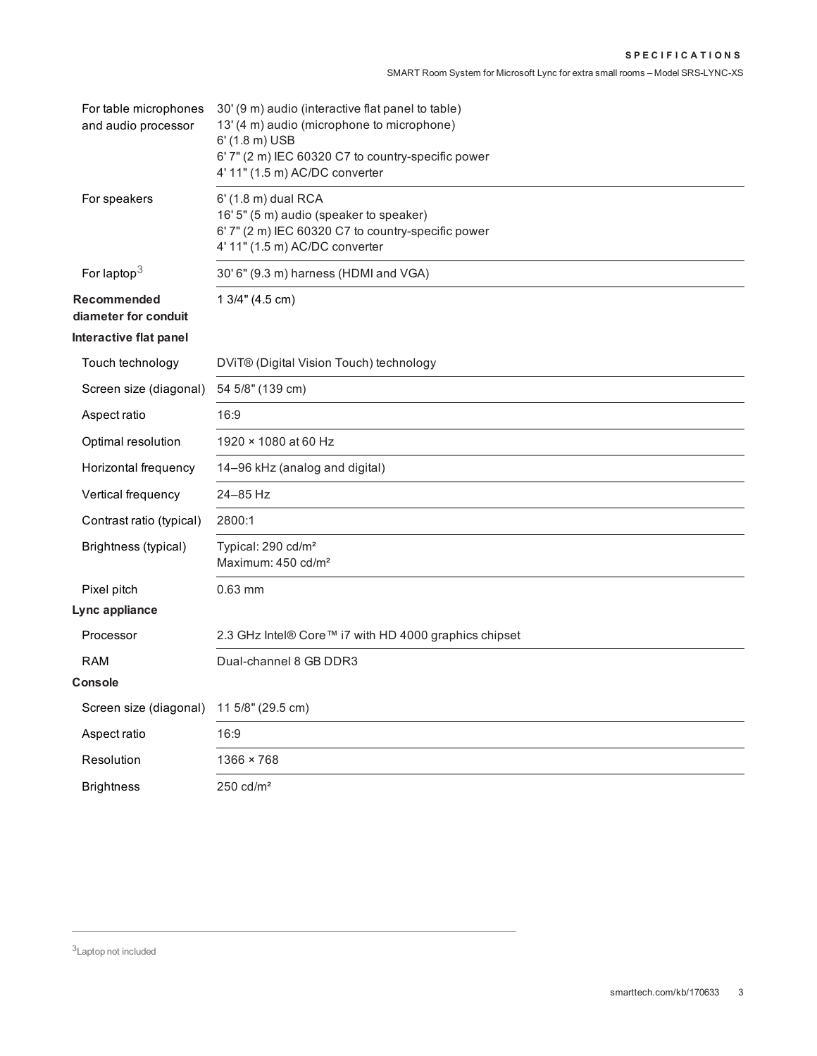| For table microphones<br>and audio processor | 30' (9 m) audio (interactive flat panel to table)<br>13' (4 m) audio (microphone to microphone)<br>6' (1.8 m) USB<br>6' 7" (2 m) IEC 60320 C7 to country-specific power<br>4' 11" (1.5 m) AC/DC converter |
|----------------------------------------------|-----------------------------------------------------------------------------------------------------------------------------------------------------------------------------------------------------------|
| For speakers                                 | 6' (1.8 m) dual RCA<br>16' 5" (5 m) audio (speaker to speaker)<br>6' 7" (2 m) IEC 60320 C7 to country-specific power<br>4' 11" (1.5 m) AC/DC converter                                                    |
| For laptop $3$                               | 30' 6" (9.3 m) harness (HDMI and VGA)                                                                                                                                                                     |
| Recommended<br>diameter for conduit          | 1 3/4" (4.5 cm)                                                                                                                                                                                           |
| Interactive flat panel                       |                                                                                                                                                                                                           |
| Touch technology                             | DViT® (Digital Vision Touch) technology                                                                                                                                                                   |
| Screen size (diagonal)                       | 54 5/8" (139 cm)                                                                                                                                                                                          |
| Aspect ratio                                 | 16:9                                                                                                                                                                                                      |
| Optimal resolution                           | 1920 × 1080 at 60 Hz                                                                                                                                                                                      |
| Horizontal frequency                         | 14-96 kHz (analog and digital)                                                                                                                                                                            |
| Vertical frequency                           | 24-85 Hz                                                                                                                                                                                                  |
| Contrast ratio (typical)                     | 2800:1                                                                                                                                                                                                    |
| Brightness (typical)                         | Typical: 290 cd/m <sup>2</sup><br>Maximum: 450 cd/m <sup>2</sup>                                                                                                                                          |
| Pixel pitch                                  | 0.63 mm                                                                                                                                                                                                   |
| Lync appliance                               |                                                                                                                                                                                                           |
| Processor                                    | 2.3 GHz Intel® Core™ i7 with HD 4000 graphics chipset                                                                                                                                                     |
| <b>RAM</b>                                   | Dual-channel 8 GB DDR3                                                                                                                                                                                    |
| <b>Console</b>                               |                                                                                                                                                                                                           |
| Screen size (diagonal)                       | 11 5/8" (29.5 cm)                                                                                                                                                                                         |
| Aspect ratio                                 | 16:9                                                                                                                                                                                                      |
| Resolution                                   | 1366 × 768                                                                                                                                                                                                |
| <b>Brightness</b>                            | $250 \text{ cd/m}^2$                                                                                                                                                                                      |

3Laptop not included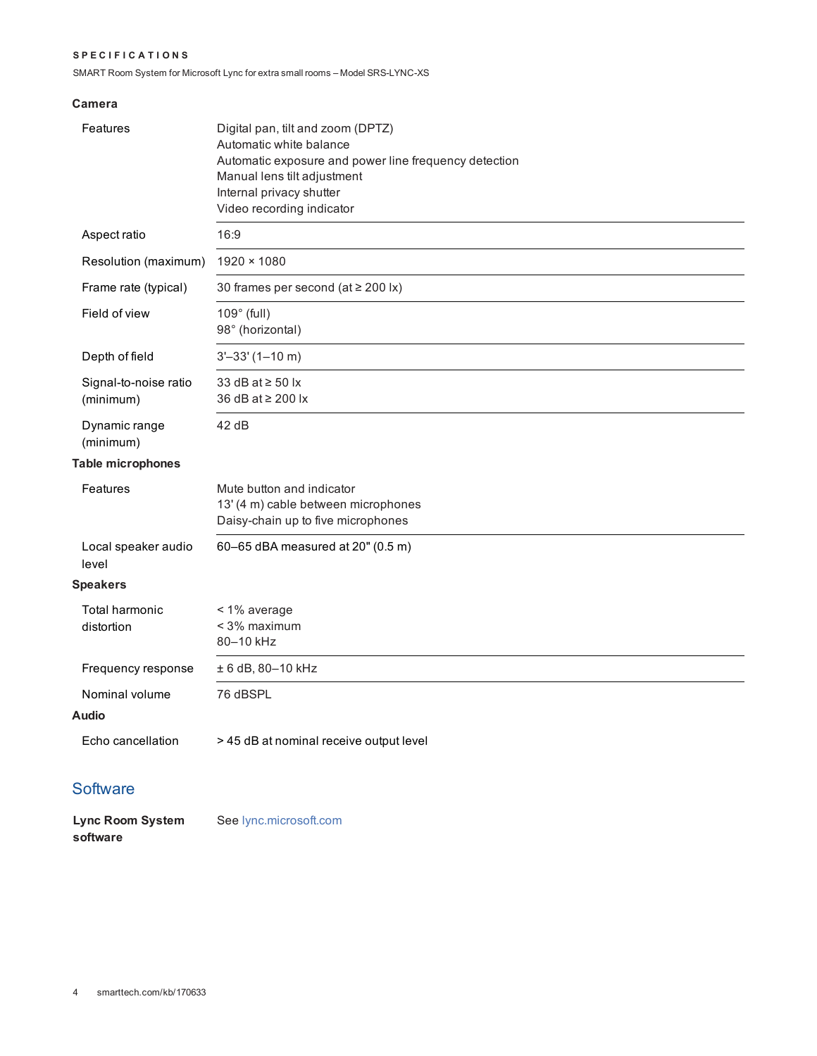#### **S P E C I F I C A T I O N S**

SMART Room System for Microsoft Lync for extra small rooms – Model SRS-LYNC-XS

### **Camera**

| Features                           | Digital pan, tilt and zoom (DPTZ)<br>Automatic white balance<br>Automatic exposure and power line frequency detection<br>Manual lens tilt adjustment<br>Internal privacy shutter<br>Video recording indicator |
|------------------------------------|---------------------------------------------------------------------------------------------------------------------------------------------------------------------------------------------------------------|
| Aspect ratio                       | 16:9                                                                                                                                                                                                          |
| Resolution (maximum)               | 1920 × 1080                                                                                                                                                                                                   |
| Frame rate (typical)               | 30 frames per second (at $\geq$ 200 lx)                                                                                                                                                                       |
| Field of view                      | $109^\circ$ (full)<br>98° (horizontal)                                                                                                                                                                        |
| Depth of field                     | $3' - 33' (1 - 10 m)$                                                                                                                                                                                         |
| Signal-to-noise ratio<br>(minimum) | 33 dB at $\ge$ 50 lx<br>36 dB at ≥ 200 lx                                                                                                                                                                     |
| Dynamic range<br>(minimum)         | 42 dB                                                                                                                                                                                                         |
| <b>Table microphones</b>           |                                                                                                                                                                                                               |
| Features                           | Mute button and indicator<br>13' (4 m) cable between microphones<br>Daisy-chain up to five microphones                                                                                                        |
| Local speaker audio<br>level       | 60-65 dBA measured at 20" (0.5 m)                                                                                                                                                                             |
| <b>Speakers</b>                    |                                                                                                                                                                                                               |
| Total harmonic<br>distortion       | < 1% average<br>< 3% maximum<br>80-10 kHz                                                                                                                                                                     |
| Frequency response                 | ± 6 dB, 80-10 kHz                                                                                                                                                                                             |
| Nominal volume<br>Audio            | 76 dBSPL                                                                                                                                                                                                      |
| Echo cancellation                  | > 45 dB at nominal receive output level                                                                                                                                                                       |

# **Software**

| Lync Room System | See Iync.microsoft.com |
|------------------|------------------------|
| software         |                        |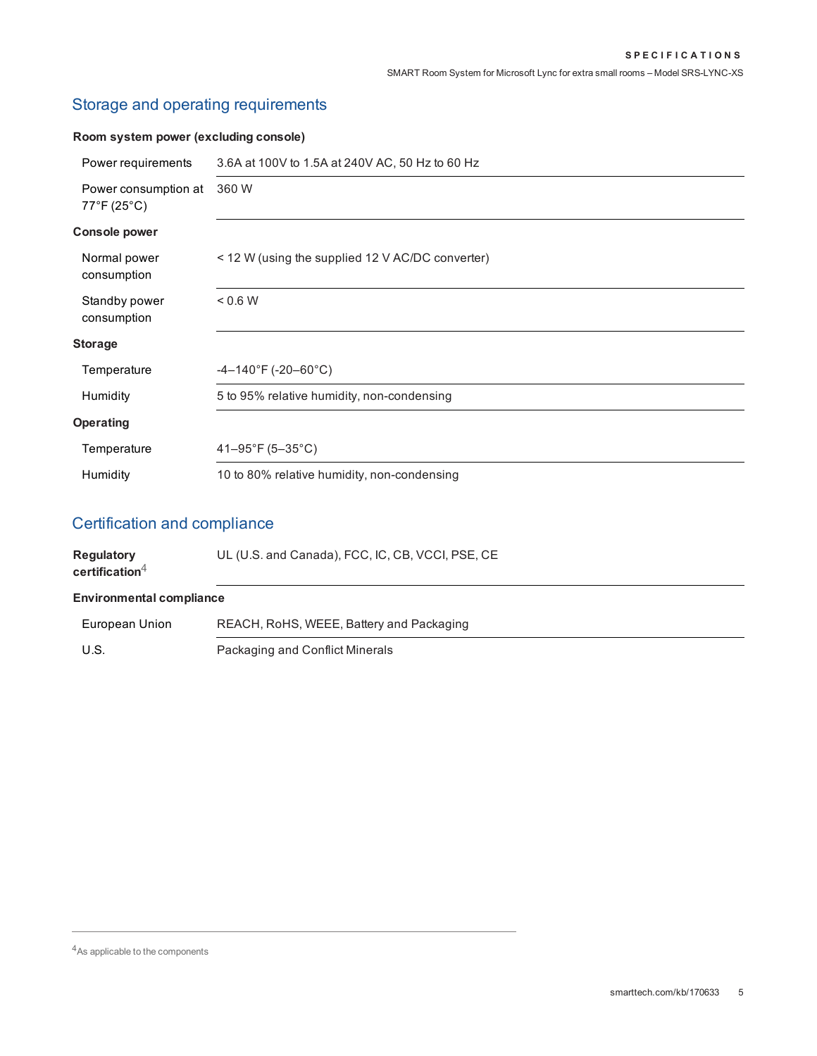# Storage and operating requirements

# **Room system power (excluding console)**

| Power requirements                            | 3.6A at 100V to 1.5A at 240V AC, 50 Hz to 60 Hz  |
|-----------------------------------------------|--------------------------------------------------|
| Power consumption at<br>$77^{\circ}$ F (25°C) | 360 W                                            |
| <b>Console power</b>                          |                                                  |
| Normal power<br>consumption                   | < 12 W (using the supplied 12 V AC/DC converter) |
| Standby power<br>consumption                  | 0.6 W                                            |
| <b>Storage</b>                                |                                                  |
| Temperature                                   | $-4-140^{\circ}$ F (-20-60 $^{\circ}$ C)         |
| Humidity                                      | 5 to 95% relative humidity, non-condensing       |
| <b>Operating</b>                              |                                                  |
| Temperature                                   | 41-95°F (5-35°C)                                 |
| Humidity                                      | 10 to 80% relative humidity, non-condensing      |

# Certification and compliance

| <b>Regulatory</b><br>certification $4$ | UL (U.S. and Canada), FCC, IC, CB, VCCI, PSE, CE |
|----------------------------------------|--------------------------------------------------|
| <b>Environmental compliance</b>        |                                                  |
| European Union                         | REACH, RoHS, WEEE, Battery and Packaging         |
| U.S.                                   | Packaging and Conflict Minerals                  |

4As applicable to the components